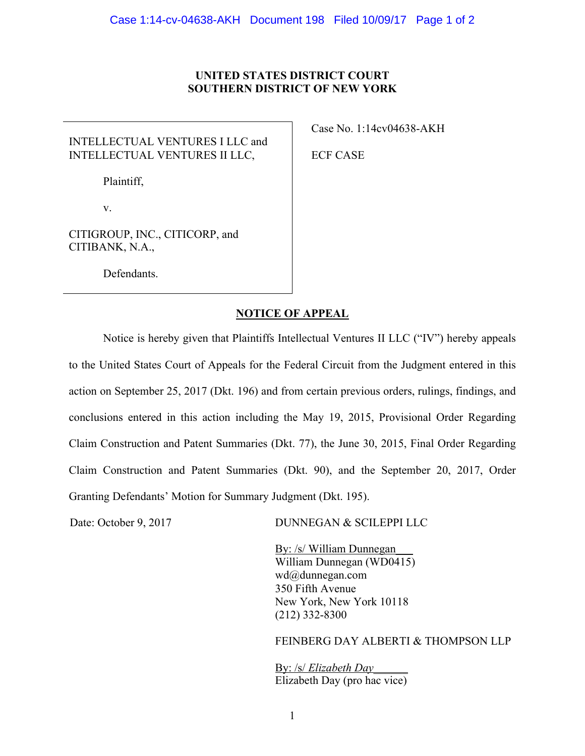## **UNITED STATES DISTRICT COURT SOUTHERN DISTRICT OF NEW YORK**

## INTELLECTUAL VENTURES I LLC and INTELLECTUAL VENTURES II LLC,

Plaintiff,

v.

CITIGROUP, INC., CITICORP, and CITIBANK, N.A.,

Defendants.

Case No. 1:14cv04638-AKH

ECF CASE

## **NOTICE OF APPEAL**

Notice is hereby given that Plaintiffs Intellectual Ventures II LLC ("IV") hereby appeals to the United States Court of Appeals for the Federal Circuit from the Judgment entered in this action on September 25, 2017 (Dkt. 196) and from certain previous orders, rulings, findings, and conclusions entered in this action including the May 19, 2015, Provisional Order Regarding Claim Construction and Patent Summaries (Dkt. 77), the June 30, 2015, Final Order Regarding Claim Construction and Patent Summaries (Dkt. 90), and the September 20, 2017, Order Granting Defendants' Motion for Summary Judgment (Dkt. 195).

Date: October 9, 2017

DUNNEGAN & SCILEPPI LLC

By: /s/ William Dunnegan\_\_\_ William Dunnegan (WD0415) wd@dunnegan.com 350 Fifth Avenue New York, New York 10118 (212) 332-8300

## FEINBERG DAY ALBERTI & THOMPSON LLP

By: /s/ *Elizabeth Day*\_\_\_\_\_\_ Elizabeth Day (pro hac vice)